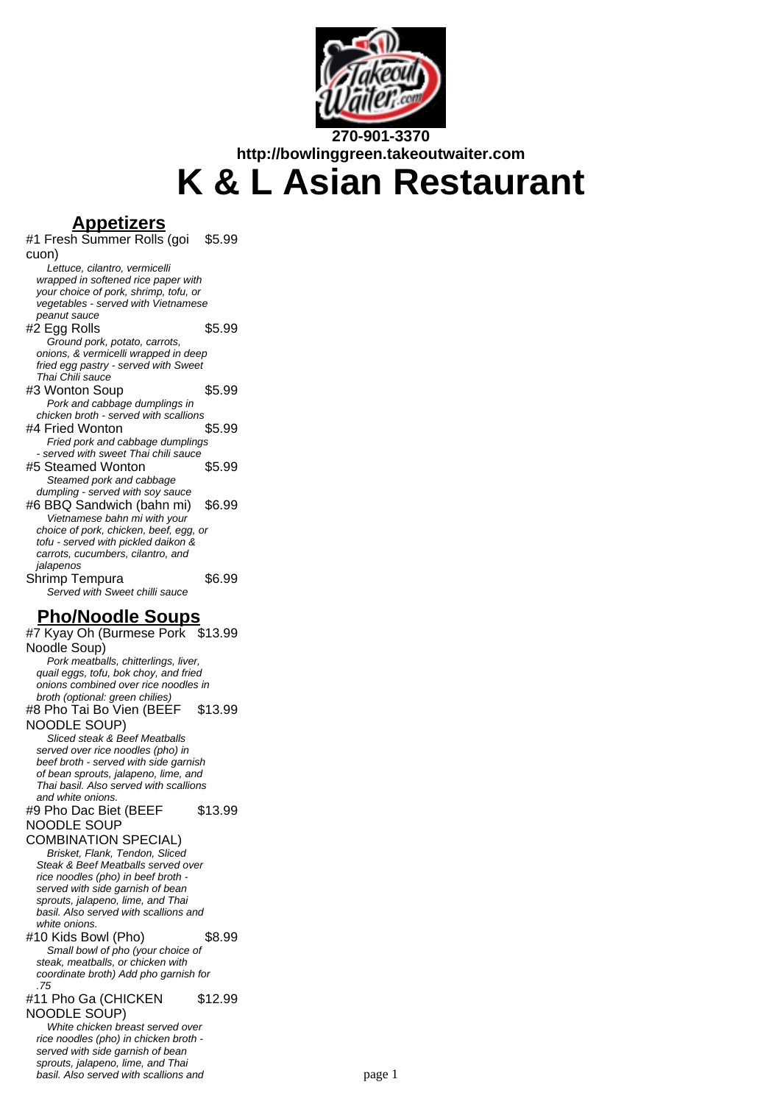

**http://bowlinggreen.takeoutwaiter.com K & L Asian Restaurant**

**Appetizers** #1 Fresh Summer Rolls (goi cuon) \$5.99 Lettuce, cilantro, vermicelli wrapped in softened rice paper with your choice of pork, shrimp, tofu, or vegetables - served with Vietnamese peanut sauce  $#2$  Egg Rolls  $$5.99$ Ground pork, potato, carrots, onions, & vermicelli wrapped in deep fried egg pastry - served with Sweet Thai Chili sauce #3 Wonton Soup \$5.99 Pork and cabbage dumplings in chicken broth - served with scallions #4 Fried Wonton \$5.99 Fried pork and cabbage dumplings - served with sweet Thai chili sauce #5 Steamed Wonton \$5.99 Steamed pork and cabbage dumpling - served with soy sauce #6 BBQ Sandwich (bahn mi) \$6.99 Vietnamese bahn mi with your choice of pork, chicken, beef, egg, or tofu - served with pickled daikon & carrots, cucumbers, cilantro, and jalapenos Shrimp Tempura \$6.99 Served with Sweet chilli sauce **Pho/Noodle Soups**

#7 Kyay Oh (Burmese Pork \$13.99 Noodle Soup) Pork meatballs, chitterlings, liver, quail eggs, tofu, bok choy, and fried onions combined over rice noodles in broth (optional: green chilies) #8 Pho Tai Bo Vien (BEEF NOODLE SOUP) \$13.99 Sliced steak & Beef Meatballs served over rice noodles (pho) in beef broth - served with side garnish of bean sprouts, jalapeno, lime, and Thai basil. Also served with scallions and white onions. #9 Pho Dac Biet (BEEF NOODLE SOUP COMBINATION SPECIAL) \$13.99 Brisket, Flank, Tendon, Sliced Steak & Beef Meatballs served over rice noodles (pho) in beef broth served with side garnish of bean sprouts, jalapeno, lime, and Thai basil. Also served with scallions and white onions. #10 Kids Bowl (Pho) \$8.99 Small bowl of pho (your choice of steak, meatballs, or chicken with coordinate broth) Add pho garnish for .75 #11 Pho Ga (CHICKEN NOODLE SOUP) \$12.99 White chicken breast served over rice noodles (pho) in chicken broth served with side garnish of bean sprouts, jalapeno, lime, and Thai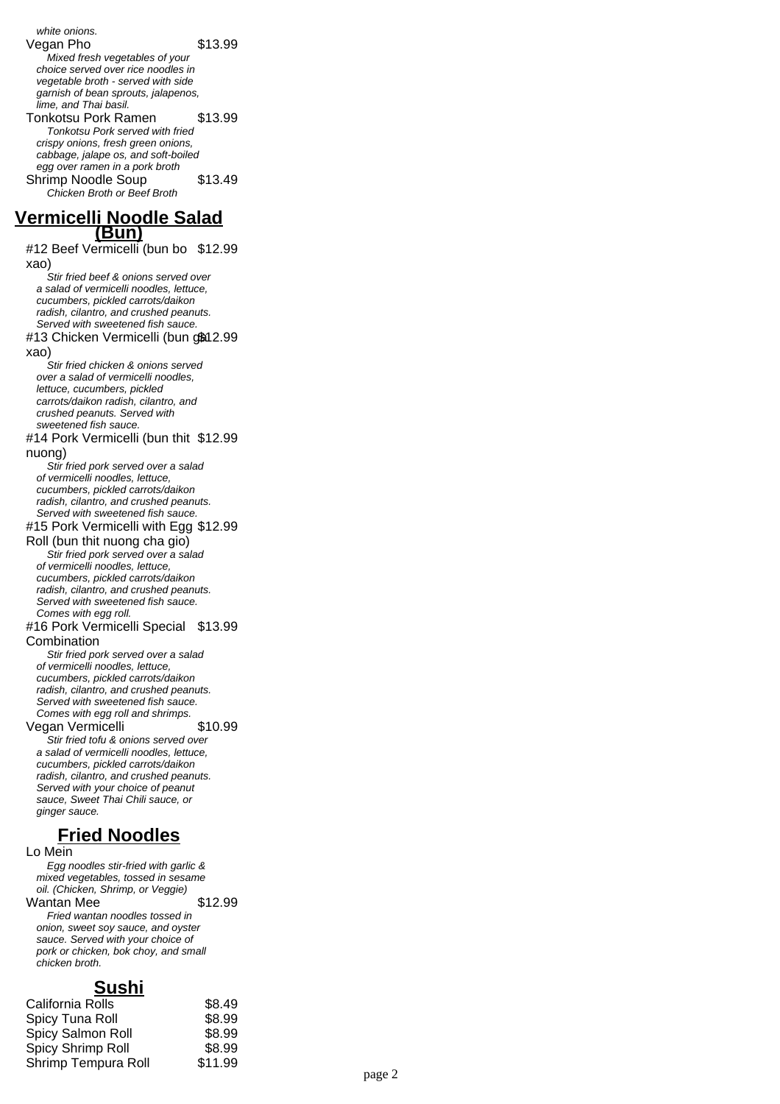white onions. Vegan Pho  $$13.99$ Mixed fresh vegetables of your choice served over rice noodles in vegetable broth - served with side garnish of bean sprouts, jalapenos, lime, and Thai basil. Tonkotsu Pork Ramen \$13.99 Tonkotsu Pork served with fried crispy onions, fresh green onions, cabbage, jalape os, and soft-boiled egg over ramen in a pork broth Shrimp Noodle Soup \$13.49 Chicken Broth or Beef Broth **Vermicelli Noodle Salad (Bun)** #12 Beef Vermicelli (bun bo \$12.99 xao) Stir fried beef & onions served over a salad of vermicelli noodles, lettuce, cucumbers, pickled carrots/daikon radish, cilantro, and crushed peanuts. Served with sweetened fish sauce. #13 Chicken Vermicelli (bun gක12.99 xao) Stir fried chicken & onions served over a salad of vermicelli noodles, lettuce, cucumbers, pickled carrots/daikon radish, cilantro, and crushed peanuts. Served with sweetened fish sauce. #14 Pork Vermicelli (bun thit \$12.99 nuong) Stir fried pork served over a salad of vermicelli noodles, lettuce, cucumbers, pickled carrots/daikon radish, cilantro, and crushed peanuts. Served with sweetened fish sauce. #15 Pork Vermicelli with Egg \$12.99 Roll (bun thit nuong cha gio) Stir fried pork served over a salad of vermicelli noodles, lettuce, cucumbers, pickled carrots/daikon radish, cilantro, and crushed peanuts. Served with sweetened fish sauce. Comes with egg roll. #16 Pork Vermicelli Special \$13.99 Combination Stir fried pork served over a salad of vermicelli noodles, lettuce, cucumbers, pickled carrots/daikon radish, cilantro, and crushed peanuts. Served with sweetened fish sauce. Comes with egg roll and shrimps. Vegan Vermicelli \$10.99 Stir fried tofu & onions served over a salad of vermicelli noodles, lettuce, cucumbers, pickled carrots/daikon radish, cilantro, and crushed peanuts. Served with your choice of peanut sauce, Sweet Thai Chili sauce, or ginger sauce. **Fried Noodles** Lo Mein Egg noodles stir-fried with garlic & mixed vegetables, tossed in sesame oil. (Chicken, Shrimp, or Veggie) Wantan Mee \$12.99 Fried wantan noodles tossed in onion, sweet soy sauce, and oyster

sauce. Served with your choice of pork or chicken, bok choy, and small chicken broth.

## **Sushi**

| \$8.49  |
|---------|
| \$8.99  |
| \$8.99  |
| \$8.99  |
| \$11.99 |
|         |